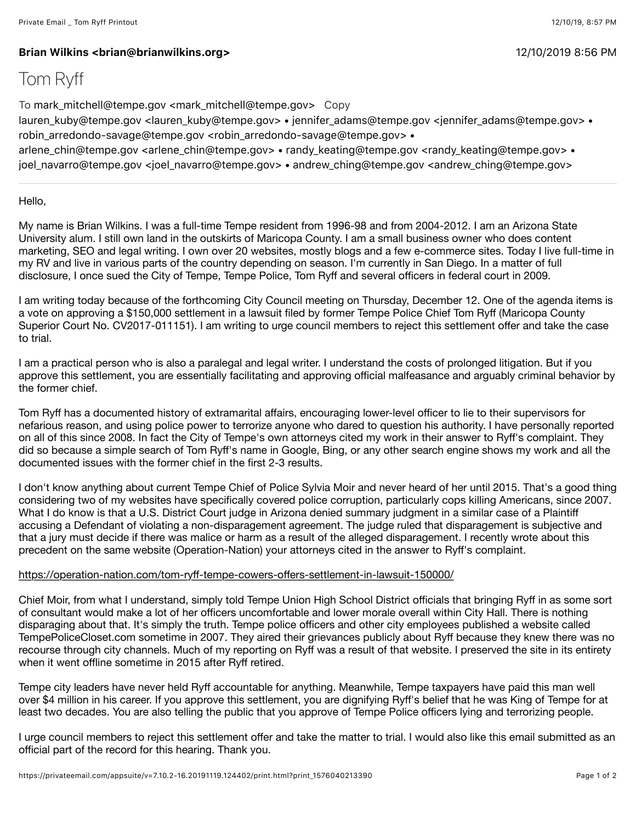## **Brian Wilkins <brian@brianwilkins.org>** 12/10/2019 8(56 PM

## Tom Ryff

To mark\_mitchell@tempe.gov <mark\_mitchell@tempe.gov> Copy

lauren\_kuby@tempe.gov <lauren\_kuby@tempe.gov> • jennifer\_adams@tempe.gov <jennifer\_adams@tempe.gov> • robin\_arredondo-savage@tempe.gov <robin\_arredondo-savage@tempe.gov> •

arlene\_chin@tempe.gov <arlene\_chin@tempe.gov> • randy\_keating@tempe.gov <randy\_keating@tempe.gov> • joel\_navarro@tempe.gov <joel\_navarro@tempe.gov> • andrew\_ching@tempe.gov <andrew\_ching@tempe.gov>

Hello,

My name is Brian Wilkins. I was a full-time Tempe resident from 1996-98 and from 2004-2012. I am an Arizona State University alum. I still own land in the outskirts of Maricopa County. I am a small business owner who does content marketing, SEO and legal writing. I own over 20 websites, mostly blogs and a few e-commerce sites. Today I live full-time in my RV and live in various parts of the country depending on season. I'm currently in San Diego. In a matter of full disclosure, I once sued the City of Tempe, Tempe Police, Tom Ryff and several officers in federal court in 2009.

I am writing today because of the forthcoming City Council meeting on Thursday, December 12. One of the agenda items is a vote on approving a \$150,000 settlement in a lawsuit filed by former Tempe Police Chief Tom Ryff (Maricopa County Superior Court No. CV2017-011151). I am writing to urge council members to reject this settlement offer and take the case to trial.

I am a practical person who is also a paralegal and legal writer. I understand the costs of prolonged litigation. But if you approve this settlement, you are essentially facilitating and approving official malfeasance and arguably criminal behavior by the former chief.

Tom Ryff has a documented history of extramarital affairs, encouraging lower-level officer to lie to their supervisors for nefarious reason, and using police power to terrorize anyone who dared to question his authority. I have personally reported on all of this since 2008. In fact the City of Tempe's own attorneys cited my work in their answer to Ryff's complaint. They did so because a simple search of Tom Ryff's name in Google, Bing, or any other search engine shows my work and all the documented issues with the former chief in the first 2-3 results.

I don't know anything about current Tempe Chief of Police Sylvia Moir and never heard of her until 2015. That's a good thing considering two of my websites have specifically covered police corruption, particularly cops killing Americans, since 2007. What I do know is that a U.S. District Court judge in Arizona denied summary judgment in a similar case of a Plaintiff accusing a Defendant of violating a non-disparagement agreement. The judge ruled that disparagement is subjective and that a jury must decide if there was malice or harm as a result of the alleged disparagement. I recently wrote about this precedent on the same website (Operation-Nation) your attorneys cited in the answer to Ryff's complaint.

## [https://operation-nation.com/tom-ry](https://operation-nation.com/tom-ryff-tempe-cowers-offers-settlement-in-lawsuit-150000/)ff-tempe-cowers-offers-settlement-in-lawsuit-150000/

Chief Moir, from what I understand, simply told Tempe Union High School District officials that bringing Ryff in as some sort of consultant would make a lot of her officers uncomfortable and lower morale overall within City Hall. There is nothing disparaging about that. It's simply the truth. Tempe police officers and other city employees published a website called TempePoliceCloset.com sometime in 2007. They aired their grievances publicly about Ryff because they knew there was no recourse through city channels. Much of my reporting on Ryff was a result of that website. I preserved the site in its entirety when it went offline sometime in 2015 after Ryff retired.

Tempe city leaders have never held Ryff accountable for anything. Meanwhile, Tempe taxpayers have paid this man well over \$4 million in his career. If you approve this settlement, you are dignifying Ryff's belief that he was King of Tempe for at least two decades. You are also telling the public that you approve of Tempe Police officers lying and terrorizing people.

I urge council members to reject this settlement offer and take the matter to trial. I would also like this email submitted as an official part of the record for this hearing. Thank you.